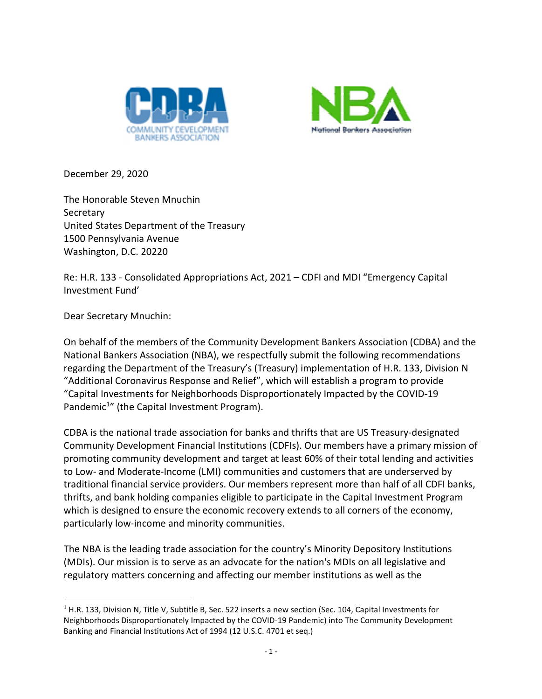



December 29, 2020

The Honorable Steven Mnuchin **Secretary** United States Department of the Treasury 1500 Pennsylvania Avenue Washington, D.C. 20220

Re: H.R. 133 - Consolidated Appropriations Act, 2021 – CDFI and MDI "Emergency Capital Investment Fund'

Dear Secretary Mnuchin:

 $\overline{a}$ 

On behalf of the members of the Community Development Bankers Association (CDBA) and the National Bankers Association (NBA), we respectfully submit the following recommendations regarding the Department of the Treasury's (Treasury) implementation of H.R. 133, Division N "Additional Coronavirus Response and Relief", which will establish a program to provide "Capital Investments for Neighborhoods Disproportionately Impacted by the COVID-19 Pandemic<sup>1</sup>" (the Capital Investment Program).

CDBA is the national trade association for banks and thrifts that are US Treasury-designated Community Development Financial Institutions (CDFIs). Our members have a primary mission of promoting community development and target at least 60% of their total lending and activities to Low- and Moderate-Income (LMI) communities and customers that are underserved by traditional financial service providers. Our members represent more than half of all CDFI banks, thrifts, and bank holding companies eligible to participate in the Capital Investment Program which is designed to ensure the economic recovery extends to all corners of the economy, particularly low-income and minority communities.

The NBA is the leading trade association for the country's Minority Depository Institutions (MDIs). Our mission is to serve as an advocate for the nation's MDIs on all legislative and regulatory matters concerning and affecting our member institutions as well as the

 $<sup>1</sup>$  H.R. 133, Division N, Title V, Subtitle B, Sec. 522 inserts a new section (Sec. 104, Capital Investments for</sup> Neighborhoods Disproportionately Impacted by the COVID-19 Pandemic) into The Community Development Banking and Financial Institutions Act of 1994 (12 U.S.C. 4701 et seq.)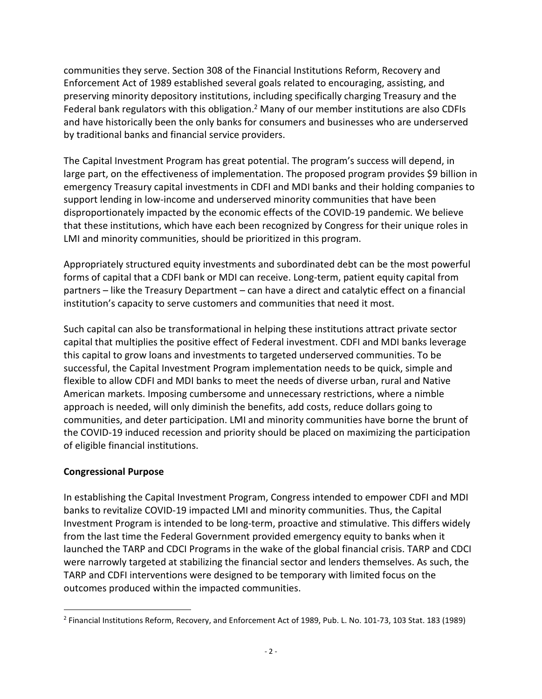communities they serve. Section 308 of the Financial Institutions Reform, Recovery and Enforcement Act of 1989 established several goals related to encouraging, assisting, and preserving minority depository institutions, including specifically charging Treasury and the Federal bank regulators with this obligation.<sup>2</sup> Many of our member institutions are also CDFIs and have historically been the only banks for consumers and businesses who are underserved by traditional banks and financial service providers.

The Capital Investment Program has great potential. The program's success will depend, in large part, on the effectiveness of implementation. The proposed program provides \$9 billion in emergency Treasury capital investments in CDFI and MDI banks and their holding companies to support lending in low-income and underserved minority communities that have been disproportionately impacted by the economic effects of the COVID-19 pandemic. We believe that these institutions, which have each been recognized by Congress for their unique roles in LMI and minority communities, should be prioritized in this program.

Appropriately structured equity investments and subordinated debt can be the most powerful forms of capital that a CDFI bank or MDI can receive. Long-term, patient equity capital from partners – like the Treasury Department – can have a direct and catalytic effect on a financial institution's capacity to serve customers and communities that need it most.

Such capital can also be transformational in helping these institutions attract private sector capital that multiplies the positive effect of Federal investment. CDFI and MDI banks leverage this capital to grow loans and investments to targeted underserved communities. To be successful, the Capital Investment Program implementation needs to be quick, simple and flexible to allow CDFI and MDI banks to meet the needs of diverse urban, rural and Native American markets. Imposing cumbersome and unnecessary restrictions, where a nimble approach is needed, will only diminish the benefits, add costs, reduce dollars going to communities, and deter participation. LMI and minority communities have borne the brunt of the COVID-19 induced recession and priority should be placed on maximizing the participation of eligible financial institutions.

### **Congressional Purpose**

l

In establishing the Capital Investment Program, Congress intended to empower CDFI and MDI banks to revitalize COVID-19 impacted LMI and minority communities. Thus, the Capital Investment Program is intended to be long-term, proactive and stimulative. This differs widely from the last time the Federal Government provided emergency equity to banks when it launched the TARP and CDCI Programs in the wake of the global financial crisis. TARP and CDCI were narrowly targeted at stabilizing the financial sector and lenders themselves. As such, the TARP and CDFI interventions were designed to be temporary with limited focus on the outcomes produced within the impacted communities.

<sup>2</sup> Financial Institutions Reform, Recovery, and Enforcement Act of 1989, Pub. L. No. 101-73, 103 Stat. 183 (1989)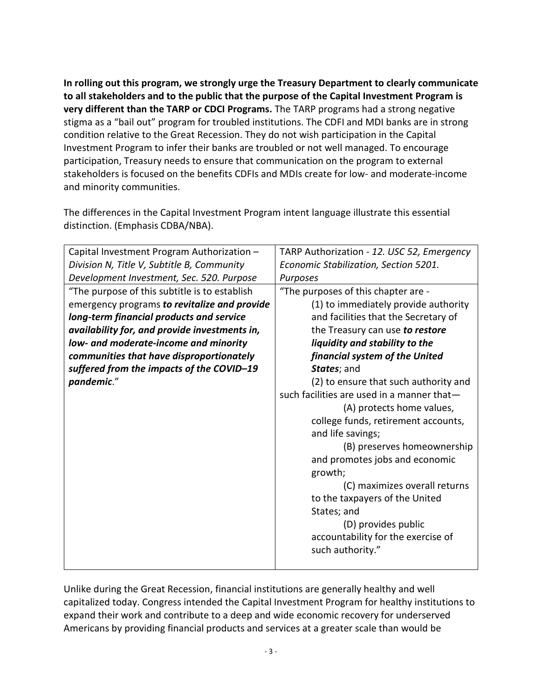**In rolling out this program, we strongly urge the Treasury Department to clearly communicate to all stakeholders and to the public that the purpose of the Capital Investment Program is very different than the TARP or CDCI Programs.** The TARP programs had a strong negative stigma as a "bail out" program for troubled institutions. The CDFI and MDI banks are in strong condition relative to the Great Recession. They do not wish participation in the Capital Investment Program to infer their banks are troubled or not well managed. To encourage participation, Treasury needs to ensure that communication on the program to external stakeholders is focused on the benefits CDFIs and MDIs create for low- and moderate-income and minority communities.

The differences in the Capital Investment Program intent language illustrate this essential distinction. (Emphasis CDBA/NBA).

| Capital Investment Program Authorization -    | TARP Authorization - 12. USC 52, Emergency |
|-----------------------------------------------|--------------------------------------------|
| Division N, Title V, Subtitle B, Community    | Economic Stabilization, Section 5201.      |
| Development Investment, Sec. 520. Purpose     | Purposes                                   |
| "The purpose of this subtitle is to establish | "The purposes of this chapter are -        |
| emergency programs to revitalize and provide  | (1) to immediately provide authority       |
| long-term financial products and service      | and facilities that the Secretary of       |
| availability for, and provide investments in, | the Treasury can use to restore            |
| low- and moderate-income and minority         | liquidity and stability to the             |
| communities that have disproportionately      | financial system of the United             |
| suffered from the impacts of the COVID-19     | States; and                                |
| pandemic."                                    | (2) to ensure that such authority and      |
|                                               | such facilities are used in a manner that- |
|                                               | (A) protects home values,                  |
|                                               | college funds, retirement accounts,        |
|                                               | and life savings;                          |
|                                               | (B) preserves homeownership                |
|                                               | and promotes jobs and economic             |
|                                               | growth;                                    |
|                                               | (C) maximizes overall returns              |
|                                               | to the taxpayers of the United             |
|                                               | States; and                                |
|                                               | (D) provides public                        |
|                                               | accountability for the exercise of         |
|                                               | such authority."                           |
|                                               |                                            |

Unlike during the Great Recession, financial institutions are generally healthy and well capitalized today. Congress intended the Capital Investment Program for healthy institutions to expand their work and contribute to a deep and wide economic recovery for underserved Americans by providing financial products and services at a greater scale than would be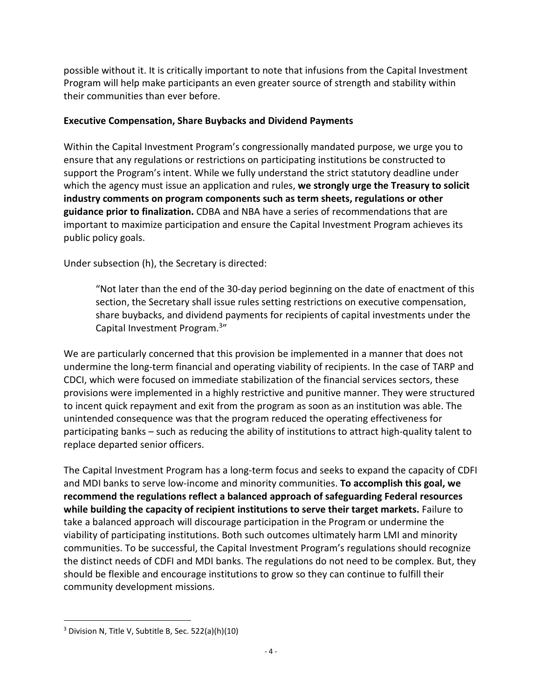possible without it. It is critically important to note that infusions from the Capital Investment Program will help make participants an even greater source of strength and stability within their communities than ever before.

#### **Executive Compensation, Share Buybacks and Dividend Payments**

Within the Capital Investment Program's congressionally mandated purpose, we urge you to ensure that any regulations or restrictions on participating institutions be constructed to support the Program's intent. While we fully understand the strict statutory deadline under which the agency must issue an application and rules, **we strongly urge the Treasury to solicit industry comments on program components such as term sheets, regulations or other guidance prior to finalization.** CDBA and NBA have a series of recommendations that are important to maximize participation and ensure the Capital Investment Program achieves its public policy goals.

Under subsection (h), the Secretary is directed:

"Not later than the end of the 30-day period beginning on the date of enactment of this section, the Secretary shall issue rules setting restrictions on executive compensation, share buybacks, and dividend payments for recipients of capital investments under the Capital Investment Program.<sup>3"</sup>

We are particularly concerned that this provision be implemented in a manner that does not undermine the long-term financial and operating viability of recipients. In the case of TARP and CDCI, which were focused on immediate stabilization of the financial services sectors, these provisions were implemented in a highly restrictive and punitive manner. They were structured to incent quick repayment and exit from the program as soon as an institution was able. The unintended consequence was that the program reduced the operating effectiveness for participating banks – such as reducing the ability of institutions to attract high-quality talent to replace departed senior officers.

The Capital Investment Program has a long-term focus and seeks to expand the capacity of CDFI and MDI banks to serve low-income and minority communities. **To accomplish this goal, we recommend the regulations reflect a balanced approach of safeguarding Federal resources while building the capacity of recipient institutions to serve their target markets.** Failure to take a balanced approach will discourage participation in the Program or undermine the viability of participating institutions. Both such outcomes ultimately harm LMI and minority communities. To be successful, the Capital Investment Program's regulations should recognize the distinct needs of CDFI and MDI banks. The regulations do not need to be complex. But, they should be flexible and encourage institutions to grow so they can continue to fulfill their community development missions.

 $\overline{a}$ 

 $3$  Division N, Title V, Subtitle B, Sec. 522(a)(h)(10)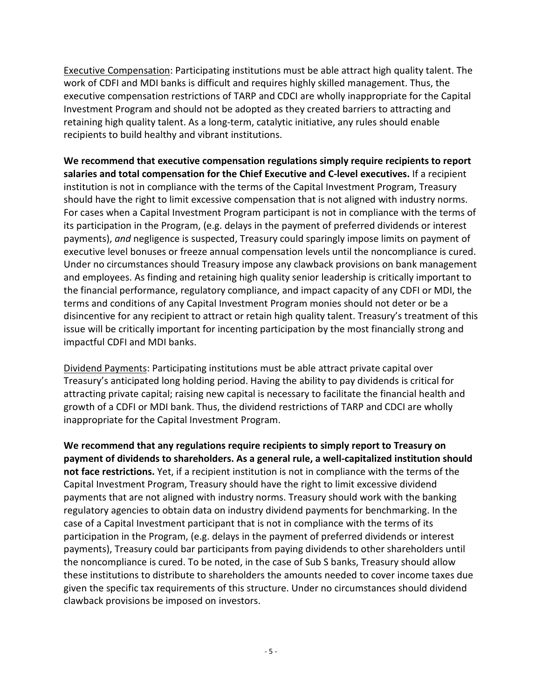Executive Compensation: Participating institutions must be able attract high quality talent. The work of CDFI and MDI banks is difficult and requires highly skilled management. Thus, the executive compensation restrictions of TARP and CDCI are wholly inappropriate for the Capital Investment Program and should not be adopted as they created barriers to attracting and retaining high quality talent. As a long-term, catalytic initiative, any rules should enable recipients to build healthy and vibrant institutions.

**We recommend that executive compensation regulations simply require recipients to report salaries and total compensation for the Chief Executive and C-level executives.** If a recipient institution is not in compliance with the terms of the Capital Investment Program, Treasury should have the right to limit excessive compensation that is not aligned with industry norms. For cases when a Capital Investment Program participant is not in compliance with the terms of its participation in the Program, (e.g. delays in the payment of preferred dividends or interest payments), *and* negligence is suspected, Treasury could sparingly impose limits on payment of executive level bonuses or freeze annual compensation levels until the noncompliance is cured. Under no circumstances should Treasury impose any clawback provisions on bank management and employees. As finding and retaining high quality senior leadership is critically important to the financial performance, regulatory compliance, and impact capacity of any CDFI or MDI, the terms and conditions of any Capital Investment Program monies should not deter or be a disincentive for any recipient to attract or retain high quality talent. Treasury's treatment of this issue will be critically important for incenting participation by the most financially strong and impactful CDFI and MDI banks.

Dividend Payments: Participating institutions must be able attract private capital over Treasury's anticipated long holding period. Having the ability to pay dividends is critical for attracting private capital; raising new capital is necessary to facilitate the financial health and growth of a CDFI or MDI bank. Thus, the dividend restrictions of TARP and CDCI are wholly inappropriate for the Capital Investment Program.

**We recommend that any regulations require recipients to simply report to Treasury on payment of dividends to shareholders. As a general rule, a well-capitalized institution should not face restrictions.** Yet, if a recipient institution is not in compliance with the terms of the Capital Investment Program, Treasury should have the right to limit excessive dividend payments that are not aligned with industry norms. Treasury should work with the banking regulatory agencies to obtain data on industry dividend payments for benchmarking. In the case of a Capital Investment participant that is not in compliance with the terms of its participation in the Program, (e.g. delays in the payment of preferred dividends or interest payments), Treasury could bar participants from paying dividends to other shareholders until the noncompliance is cured. To be noted, in the case of Sub S banks, Treasury should allow these institutions to distribute to shareholders the amounts needed to cover income taxes due given the specific tax requirements of this structure. Under no circumstances should dividend clawback provisions be imposed on investors.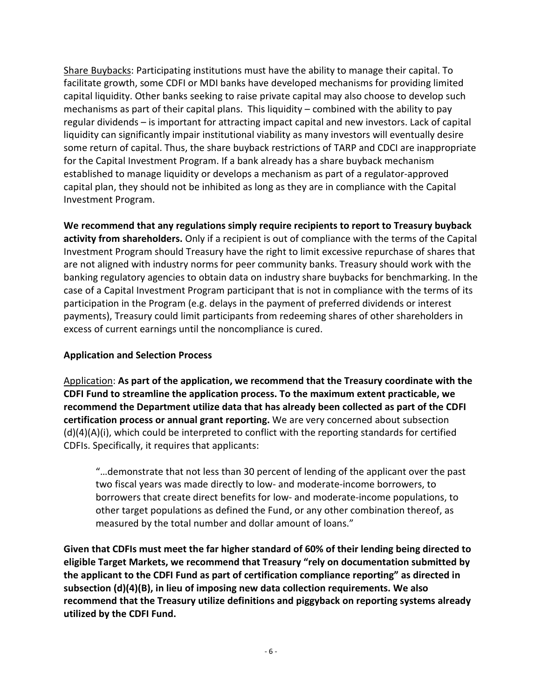Share Buybacks: Participating institutions must have the ability to manage their capital. To facilitate growth, some CDFI or MDI banks have developed mechanisms for providing limited capital liquidity. Other banks seeking to raise private capital may also choose to develop such mechanisms as part of their capital plans. This liquidity – combined with the ability to pay regular dividends – is important for attracting impact capital and new investors. Lack of capital liquidity can significantly impair institutional viability as many investors will eventually desire some return of capital. Thus, the share buyback restrictions of TARP and CDCI are inappropriate for the Capital Investment Program. If a bank already has a share buyback mechanism established to manage liquidity or develops a mechanism as part of a regulator-approved capital plan, they should not be inhibited as long as they are in compliance with the Capital Investment Program.

**We recommend that any regulations simply require recipients to report to Treasury buyback activity from shareholders.** Only if a recipient is out of compliance with the terms of the Capital Investment Program should Treasury have the right to limit excessive repurchase of shares that are not aligned with industry norms for peer community banks. Treasury should work with the banking regulatory agencies to obtain data on industry share buybacks for benchmarking. In the case of a Capital Investment Program participant that is not in compliance with the terms of its participation in the Program (e.g. delays in the payment of preferred dividends or interest payments), Treasury could limit participants from redeeming shares of other shareholders in excess of current earnings until the noncompliance is cured.

### **Application and Selection Process**

Application: **As part of the application, we recommend that the Treasury coordinate with the CDFI Fund to streamline the application process. To the maximum extent practicable, we recommend the Department utilize data that has already been collected as part of the CDFI certification process or annual grant reporting.** We are very concerned about subsection  $(d)(4)(A)(i)$ , which could be interpreted to conflict with the reporting standards for certified CDFIs. Specifically, it requires that applicants:

"…demonstrate that not less than 30 percent of lending of the applicant over the past two fiscal years was made directly to low- and moderate-income borrowers, to borrowers that create direct benefits for low- and moderate-income populations, to other target populations as defined the Fund, or any other combination thereof, as measured by the total number and dollar amount of loans."

**Given that CDFIs must meet the far higher standard of 60% of their lending being directed to eligible Target Markets, we recommend that Treasury "rely on documentation submitted by the applicant to the CDFI Fund as part of certification compliance reporting" as directed in subsection (d)(4)(B), in lieu of imposing new data collection requirements. We also recommend that the Treasury utilize definitions and piggyback on reporting systems already utilized by the CDFI Fund.**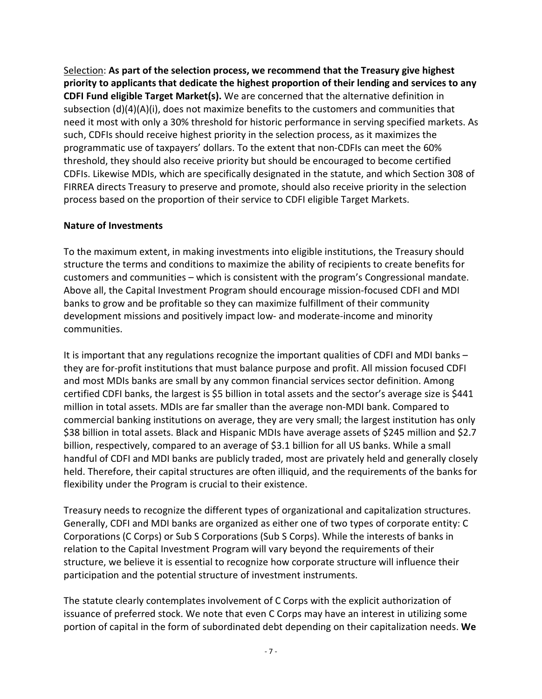Selection: **As part of the selection process, we recommend that the Treasury give highest priority to applicants that dedicate the highest proportion of their lending and services to any CDFI Fund eligible Target Market(s).** We are concerned that the alternative definition in subsection (d)(4)(A)(i), does not maximize benefits to the customers and communities that need it most with only a 30% threshold for historic performance in serving specified markets. As such, CDFIs should receive highest priority in the selection process, as it maximizes the programmatic use of taxpayers' dollars. To the extent that non-CDFIs can meet the 60% threshold, they should also receive priority but should be encouraged to become certified CDFIs. Likewise MDIs, which are specifically designated in the statute, and which Section 308 of FIRREA directs Treasury to preserve and promote, should also receive priority in the selection process based on the proportion of their service to CDFI eligible Target Markets.

#### **Nature of Investments**

To the maximum extent, in making investments into eligible institutions, the Treasury should structure the terms and conditions to maximize the ability of recipients to create benefits for customers and communities – which is consistent with the program's Congressional mandate. Above all, the Capital Investment Program should encourage mission-focused CDFI and MDI banks to grow and be profitable so they can maximize fulfillment of their community development missions and positively impact low- and moderate-income and minority communities.

It is important that any regulations recognize the important qualities of CDFI and MDI banks – they are for-profit institutions that must balance purpose and profit. All mission focused CDFI and most MDIs banks are small by any common financial services sector definition. Among certified CDFI banks, the largest is \$5 billion in total assets and the sector's average size is \$441 million in total assets. MDIs are far smaller than the average non-MDI bank. Compared to commercial banking institutions on average, they are very small; the largest institution has only \$38 billion in total assets. Black and Hispanic MDIs have average assets of \$245 million and \$2.7 billion, respectively, compared to an average of \$3.1 billion for all US banks. While a small handful of CDFI and MDI banks are publicly traded, most are privately held and generally closely held. Therefore, their capital structures are often illiquid, and the requirements of the banks for flexibility under the Program is crucial to their existence.

Treasury needs to recognize the different types of organizational and capitalization structures. Generally, CDFI and MDI banks are organized as either one of two types of corporate entity: C Corporations (C Corps) or Sub S Corporations (Sub S Corps). While the interests of banks in relation to the Capital Investment Program will vary beyond the requirements of their structure, we believe it is essential to recognize how corporate structure will influence their participation and the potential structure of investment instruments.

The statute clearly contemplates involvement of C Corps with the explicit authorization of issuance of preferred stock. We note that even C Corps may have an interest in utilizing some portion of capital in the form of subordinated debt depending on their capitalization needs. **We**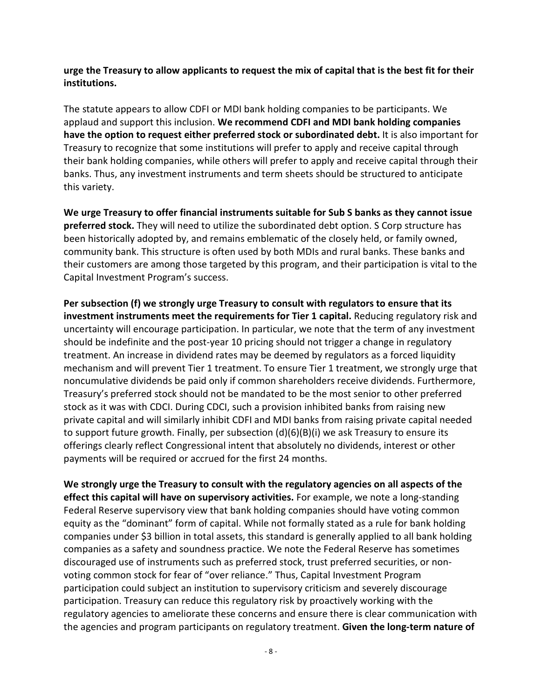**urge the Treasury to allow applicants to request the mix of capital that is the best fit for their institutions.**

The statute appears to allow CDFI or MDI bank holding companies to be participants. We applaud and support this inclusion. **We recommend CDFI and MDI bank holding companies have the option to request either preferred stock or subordinated debt.** It is also important for Treasury to recognize that some institutions will prefer to apply and receive capital through their bank holding companies, while others will prefer to apply and receive capital through their banks. Thus, any investment instruments and term sheets should be structured to anticipate this variety.

**We urge Treasury to offer financial instruments suitable for Sub S banks as they cannot issue preferred stock.** They will need to utilize the subordinated debt option. S Corp structure has been historically adopted by, and remains emblematic of the closely held, or family owned, community bank. This structure is often used by both MDIs and rural banks. These banks and their customers are among those targeted by this program, and their participation is vital to the Capital Investment Program's success.

**Per subsection (f) we strongly urge Treasury to consult with regulators to ensure that its investment instruments meet the requirements for Tier 1 capital.** Reducing regulatory risk and uncertainty will encourage participation. In particular, we note that the term of any investment should be indefinite and the post-year 10 pricing should not trigger a change in regulatory treatment. An increase in dividend rates may be deemed by regulators as a forced liquidity mechanism and will prevent Tier 1 treatment. To ensure Tier 1 treatment, we strongly urge that noncumulative dividends be paid only if common shareholders receive dividends. Furthermore, Treasury's preferred stock should not be mandated to be the most senior to other preferred stock as it was with CDCI. During CDCI, such a provision inhibited banks from raising new private capital and will similarly inhibit CDFI and MDI banks from raising private capital needed to support future growth. Finally, per subsection (d)(6)(B)(i) we ask Treasury to ensure its offerings clearly reflect Congressional intent that absolutely no dividends, interest or other payments will be required or accrued for the first 24 months.

**We strongly urge the Treasury to consult with the regulatory agencies on all aspects of the effect this capital will have on supervisory activities.** For example, we note a long-standing Federal Reserve supervisory view that bank holding companies should have voting common equity as the "dominant" form of capital. While not formally stated as a rule for bank holding companies under \$3 billion in total assets, this standard is generally applied to all bank holding companies as a safety and soundness practice. We note the Federal Reserve has sometimes discouraged use of instruments such as preferred stock, trust preferred securities, or nonvoting common stock for fear of "over reliance." Thus, Capital Investment Program participation could subject an institution to supervisory criticism and severely discourage participation. Treasury can reduce this regulatory risk by proactively working with the regulatory agencies to ameliorate these concerns and ensure there is clear communication with the agencies and program participants on regulatory treatment. **Given the long-term nature of**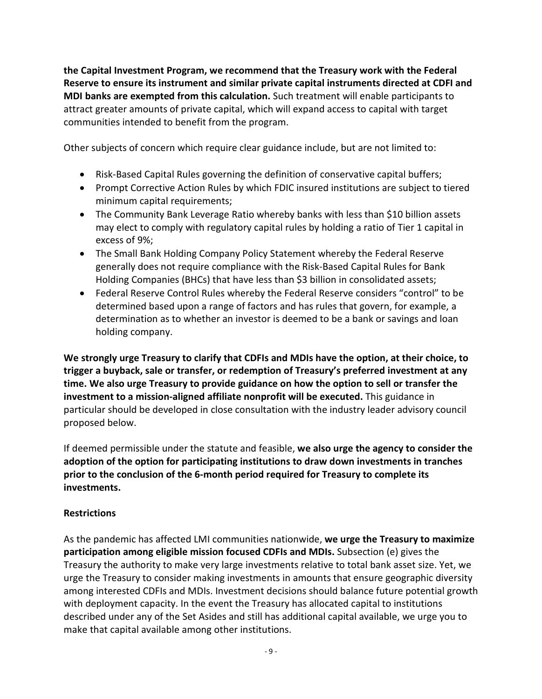**the Capital Investment Program, we recommend that the Treasury work with the Federal Reserve to ensure its instrument and similar private capital instruments directed at CDFI and MDI banks are exempted from this calculation.** Such treatment will enable participants to attract greater amounts of private capital, which will expand access to capital with target communities intended to benefit from the program.

Other subjects of concern which require clear guidance include, but are not limited to:

- Risk-Based Capital Rules governing the definition of conservative capital buffers;
- Prompt Corrective Action Rules by which FDIC insured institutions are subject to tiered minimum capital requirements;
- The Community Bank Leverage Ratio whereby banks with less than \$10 billion assets may elect to comply with regulatory capital rules by holding a ratio of Tier 1 capital in excess of 9%;
- The Small Bank Holding Company Policy Statement whereby the Federal Reserve generally does not require compliance with the Risk-Based Capital Rules for Bank Holding Companies (BHCs) that have less than \$3 billion in consolidated assets;
- Federal Reserve Control Rules whereby the Federal Reserve considers "control" to be determined based upon a range of factors and has rules that govern, for example, a determination as to whether an investor is deemed to be a bank or savings and loan holding company.

**We strongly urge Treasury to clarify that CDFIs and MDIs have the option, at their choice, to trigger a buyback, sale or transfer, or redemption of Treasury's preferred investment at any time. We also urge Treasury to provide guidance on how the option to sell or transfer the investment to a mission-aligned affiliate nonprofit will be executed.** This guidance in particular should be developed in close consultation with the industry leader advisory council proposed below.

If deemed permissible under the statute and feasible, **we also urge the agency to consider the adoption of the option for participating institutions to draw down investments in tranches prior to the conclusion of the 6-month period required for Treasury to complete its investments.** 

### **Restrictions**

As the pandemic has affected LMI communities nationwide, **we urge the Treasury to maximize participation among eligible mission focused CDFIs and MDIs.** Subsection (e) gives the Treasury the authority to make very large investments relative to total bank asset size. Yet, we urge the Treasury to consider making investments in amounts that ensure geographic diversity among interested CDFIs and MDIs. Investment decisions should balance future potential growth with deployment capacity. In the event the Treasury has allocated capital to institutions described under any of the Set Asides and still has additional capital available, we urge you to make that capital available among other institutions.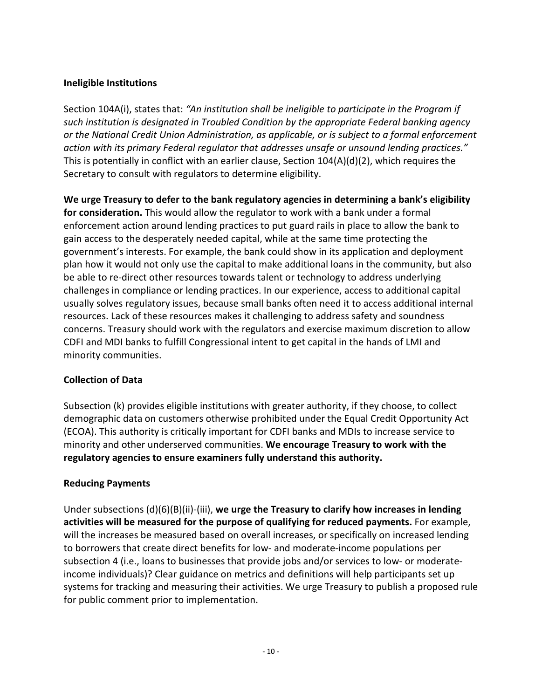## **Ineligible Institutions**

Section 104A(i), states that: *"An institution shall be ineligible to participate in the Program if such institution is designated in Troubled Condition by the appropriate Federal banking agency or the National Credit Union Administration, as applicable, or is subject to a formal enforcement action with its primary Federal regulator that addresses unsafe or unsound lending practices."* This is potentially in conflict with an earlier clause, Section 104(A)(d)(2), which requires the Secretary to consult with regulators to determine eligibility.

**We urge Treasury to defer to the bank regulatory agencies in determining a bank's eligibility for consideration.** This would allow the regulator to work with a bank under a formal enforcement action around lending practices to put guard rails in place to allow the bank to gain access to the desperately needed capital, while at the same time protecting the government's interests. For example, the bank could show in its application and deployment plan how it would not only use the capital to make additional loans in the community, but also be able to re-direct other resources towards talent or technology to address underlying challenges in compliance or lending practices. In our experience, access to additional capital usually solves regulatory issues, because small banks often need it to access additional internal resources. Lack of these resources makes it challenging to address safety and soundness concerns. Treasury should work with the regulators and exercise maximum discretion to allow CDFI and MDI banks to fulfill Congressional intent to get capital in the hands of LMI and minority communities.

# **Collection of Data**

Subsection (k) provides eligible institutions with greater authority, if they choose, to collect demographic data on customers otherwise prohibited under the Equal Credit Opportunity Act (ECOA). This authority is critically important for CDFI banks and MDIs to increase service to minority and other underserved communities. **We encourage Treasury to work with the regulatory agencies to ensure examiners fully understand this authority.** 

# **Reducing Payments**

Under subsections (d)(6)(B)(ii)-(iii), **we urge the Treasury to clarify how increases in lending activities will be measured for the purpose of qualifying for reduced payments.** For example, will the increases be measured based on overall increases, or specifically on increased lending to borrowers that create direct benefits for low- and moderate-income populations per subsection 4 (i.e., loans to businesses that provide jobs and/or services to low- or moderateincome individuals)? Clear guidance on metrics and definitions will help participants set up systems for tracking and measuring their activities. We urge Treasury to publish a proposed rule for public comment prior to implementation.